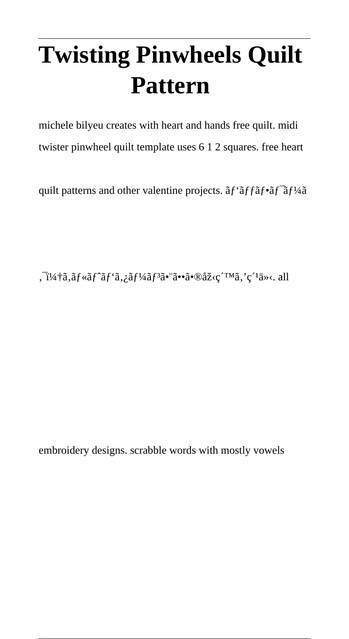# **Twisting Pinwheels Quilt Pattern**

michele bilyeu creates with heart and hands free quilt. midi twister pinwheel quilt template uses 6 1 2 squares. free heart

quilt patterns and other valentine projects.  $\tilde{a}f^{\dagger}\tilde{a}f^{\dagger}\tilde{a}f^{\dagger}\tilde{a}f^{\dagger}\tilde{a}f^{\dagger}$ 

,  $i^{4}$  $i^{4}$ ã,  $i^{6}$ f'ã,  $j^{6}$ í $j^{7}$ ã,  $j^{8}$ ã,  $j^{8}$ ã,  $k^{6}$ ®åž< $k^{7}$ Mã,  $k^{7}$ ä»<. all

embroidery designs. scrabble words with mostly vowels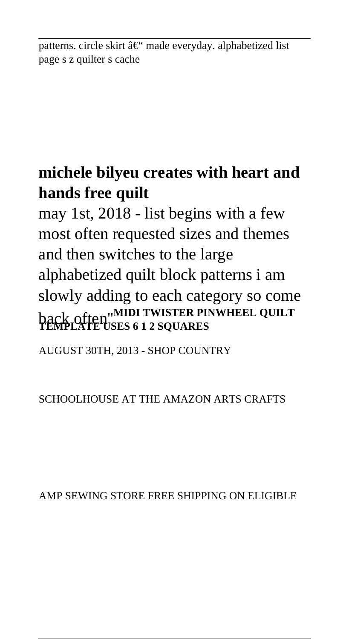patterns. circle skirt  $\hat{a} \in \hat{C}^*$  made everyday. alphabetized list page s z quilter s cache

### **michele bilyeu creates with heart and hands free quilt**

may 1st, 2018 - list begins with a few most often requested sizes and themes and then switches to the large alphabetized quilt block patterns i am slowly adding to each category so come back often''**MIDI TWISTER PINWHEEL QUILT TEMPLATE USES 6 1 2 SQUARES**

AUGUST 30TH, 2013 - SHOP COUNTRY

SCHOOLHOUSE AT THE AMAZON ARTS CRAFTS

AMP SEWING STORE FREE SHIPPING ON ELIGIBLE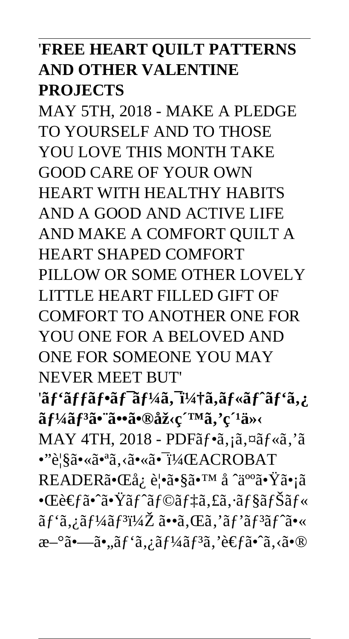### '**FREE HEART QUILT PATTERNS AND OTHER VALENTINE PROJECTS**

MAY 5TH, 2018 - MAKE A PLEDGE TO YOURSELF AND TO THOSE YOU LOVE THIS MONTH TAKE GOOD CARE OF YOUR OWN HEART WITH HEALTHY HABITS AND A GOOD AND ACTIVE LIFE AND MAKE A COMFORT QUILT A HEART SHAPED COMFORT PILLOW OR SOME OTHER LOVELY LITTLE HEART FILLED GIFT OF COMFORT TO ANOTHER ONE FOR YOU ONE FOR A BELOVED AND ONE FOR SOMEONE YOU MAY NEVER MEET BUT' 'ãf'ãffãf•ãf<sup>-</sup>ãf¼ã, &ã,ãf«ãf^ãf'ã,¿ ãf<sup>1</sup>/<sub>4</sub>ãf<sup>3</sup>ã• ã••ã•®åž<c ´™ã,'c ´1ä»< MAY 4TH,  $2018$  - PDF $\tilde{a}f \cdot \tilde{a}$ ,  $\tilde{a} \times \tilde{a}f \cdot \tilde{a}$ ,  $\tilde{a}$ •"覧㕫㕪ã, ‹ã•«ã•¬ï¼ŒACROBAT READERã•Œå¿ è¦•ã•§ã•™ å ˆäººã•Ÿã•¡ã  $\bullet$ Ώ $\epsilon$ fã $\bullet$ °ã $\bullet$ Ÿã $f$ °ã $f$ ©ã $f$ ‡ã,£ã, $\cdot$ ã $f$ §ã $f$ Šã $f$ «  $\tilde{a}f' \tilde{a}, i \tilde{a}f^{1/4} \tilde{a}f^{3}i^{1/4} \tilde{Z}$   $\tilde{a} \cdot \tilde{a}, \tilde{C}$ ,  $\tilde{a}f' \tilde{a}f^{3} \tilde{a}f' \tilde{a} \cdot \tilde{C}$  $x^{-\circ}$ ã $\bullet$ —ã $\bullet$ "ã $f'$ ã, ¿ã $f'$ ¼ã $f$ <sup>3</sup>ã, 'è $\epsilon$ fã $\bullet$ °ã, ‹ã $\bullet$ ®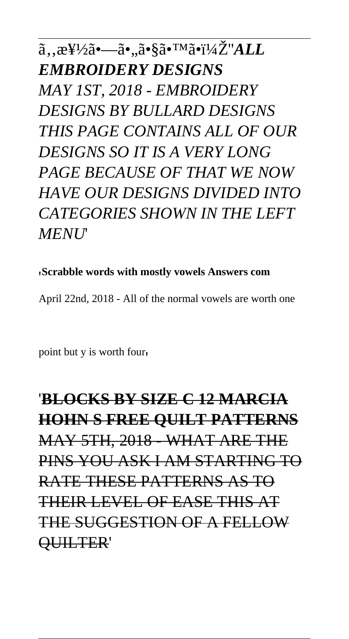$a_{\lambda}$ ,  $x_{\lambda}^{H/2}a_{\lambda}$ •... $a_{\lambda}^{H/2}a_{\lambda}^{H/2}a_{\lambda}^{H/2}a_{\lambda}^{H/2}a_{\lambda}^{H/2}a_{\lambda}^{H/2}a_{\lambda}^{H/2}a_{\lambda}^{H/2}a_{\lambda}^{H/2}a_{\lambda}^{H/2}a_{\lambda}^{H/2}a_{\lambda}^{H/2}a_{\lambda}^{H/2}a_{\lambda}^{H/2}a_{\lambda}^{H/2}a_{\lambda}^{H/2}a_{\lambda}^{H/2}a_{\lambda}^{H/2}a_{\lambda}^{H/2}$ *EMBROIDERY DESIGNS MAY 1ST, 2018 - EMBROIDERY DESIGNS BY BULLARD DESIGNS THIS PAGE CONTAINS ALL OF OUR DESIGNS SO IT IS A VERY LONG PAGE BECAUSE OF THAT WE NOW HAVE OUR DESIGNS DIVIDED INTO CATEGORIES SHOWN IN THE LEFT MENU*'

#### '**Scrabble words with mostly vowels Answers com**

April 22nd, 2018 - All of the normal vowels are worth one

point but y is worth four'

## '**BLOCKS BY SIZE C 12 MARCIA HOHN S FREE QUILT PATTERNS** MAY 5TH, 2018 - WHAT ARE THE PINS YOU ASK I AM STARTING TO RATE THESE PATTERNS AS TO THEIR LEVEL OF EASE THIS AT THE SUGGESTION OF A FELLOW QUILTER'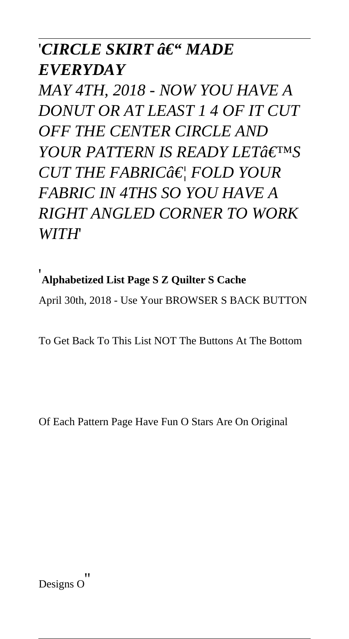### '*CIRCLE SKIRT ô€" MADE EVERYDAY*

*MAY 4TH, 2018 - NOW YOU HAVE A DONUT OR AT LEAST 1 4 OF IT CUT OFF THE CENTER CIRCLE AND YOUR PATTERN IS READY LETAEIMS CUT THE FABRIC… FOLD YOUR FABRIC IN 4THS SO YOU HAVE A RIGHT ANGLED CORNER TO WORK WITH*'

### '**Alphabetized List Page S Z Quilter S Cache**

April 30th, 2018 - Use Your BROWSER S BACK BUTTON

To Get Back To This List NOT The Buttons At The Bottom

Of Each Pattern Page Have Fun O Stars Are On Original